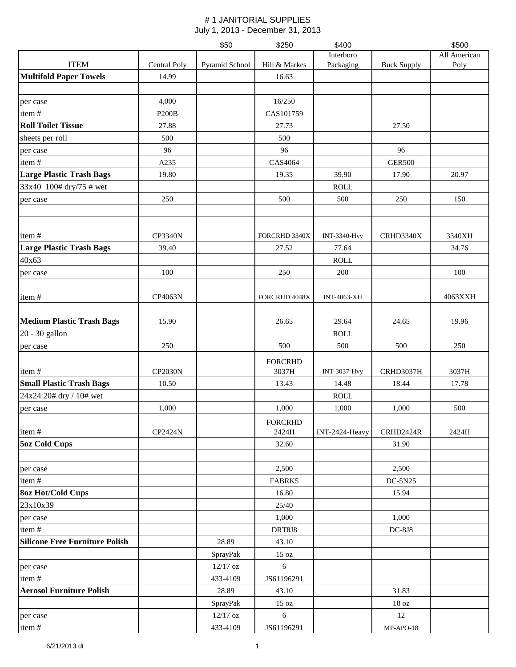|                                       |                | \$50           | \$250                   | \$400               |                    | \$500        |
|---------------------------------------|----------------|----------------|-------------------------|---------------------|--------------------|--------------|
|                                       |                |                |                         | Interboro           |                    | All American |
| <b>ITEM</b>                           | Central Poly   | Pyramid School | Hill & Markes           | Packaging           | <b>Buck Supply</b> | Poly         |
| <b>Multifold Paper Towels</b>         | 14.99          |                | 16.63                   |                     |                    |              |
| per case                              | 4,000          |                | 16/250                  |                     |                    |              |
| item#                                 | <b>P200B</b>   |                | CAS101759               |                     |                    |              |
| <b>Roll Toilet Tissue</b>             | 27.88          |                | 27.73                   |                     | 27.50              |              |
| sheets per roll                       | 500            |                | 500                     |                     |                    |              |
| per case                              | 96             |                | 96                      |                     | 96                 |              |
| item#                                 | A235           |                | CAS4064                 |                     | <b>GER500</b>      |              |
| <b>Large Plastic Trash Bags</b>       | 19.80          |                | 19.35                   | 39.90               | 17.90              | 20.97        |
| 33x40 100# dry/75 # wet               |                |                |                         | <b>ROLL</b>         |                    |              |
| per case                              | 250            |                | 500                     | 500                 | 250                | 150          |
|                                       |                |                |                         |                     |                    |              |
| item#                                 | <b>CP3340N</b> |                | FORCRHD 3340X           | INT-3340-Hvy        | CRHD3340X          | 3340XH       |
| <b>Large Plastic Trash Bags</b>       | 39.40          |                | 27.52                   | 77.64               |                    | 34.76        |
| 40x63                                 |                |                |                         | <b>ROLL</b>         |                    |              |
| per case                              | 100            |                | 250                     | 200                 |                    | 100          |
|                                       |                |                |                         |                     |                    |              |
| item#                                 | CP4063N        |                | FORCRHD 4048X           | INT-4063-XH         |                    | 4063XXH      |
| <b>Medium Plastic Trash Bags</b>      | 15.90          |                | 26.65                   | 29.64               | 24.65              | 19.96        |
| 20 - 30 gallon                        |                |                |                         | <b>ROLL</b>         |                    |              |
| per case                              | 250            |                | 500                     | 500                 | 500                | 250          |
|                                       |                |                | <b>FORCRHD</b>          |                     |                    |              |
| item#                                 | <b>CP2030N</b> |                | 3037H                   | <b>INT-3037-Hvy</b> | CRHD3037H          | 3037H        |
| <b>Small Plastic Trash Bags</b>       | 10.50          |                | 13.43                   | 14.48               | 18.44              | 17.78        |
| 24x24 20# dry / 10# wet               |                |                |                         | <b>ROLL</b>         |                    |              |
| per case                              | 1,000          |                | 1,000                   | 1,000               | 1,000              | 500          |
| item#                                 | CP2424N        |                | <b>FORCRHD</b><br>2424H | INT-2424-Heavy      | CRHD2424R          | 2424H        |
| <b>5oz Cold Cups</b>                  |                |                | 32.60                   |                     | 31.90              |              |
|                                       |                |                |                         |                     |                    |              |
| per case                              |                |                | 2,500                   |                     | 2,500              |              |
| item#                                 |                |                | FABRK5                  |                     | DC-5N25            |              |
| <b>8oz Hot/Cold Cups</b>              |                |                | 16.80                   |                     | 15.94              |              |
| 23x10x39                              |                |                | 25/40                   |                     |                    |              |
| per case                              |                |                | 1,000                   |                     | 1,000              |              |
| item#                                 |                |                | DRT8J8                  |                     | $DC-8J8$           |              |
| <b>Silicone Free Furniture Polish</b> |                | 28.89          | 43.10                   |                     |                    |              |
|                                       |                | SprayPak       | 15 oz                   |                     |                    |              |
| per case                              |                | 12/17 oz       | 6                       |                     |                    |              |
| item#                                 |                | 433-4109       | JS61196291              |                     |                    |              |
| <b>Aerosol Furniture Polish</b>       |                | 28.89          | 43.10                   |                     | 31.83              |              |
|                                       |                | SprayPak       | $15\ \mathrm{oz}$       |                     | $18\ \mathrm{oz}$  |              |
| per case                              |                | $12/17$ oz     | 6                       |                     | 12                 |              |
| item#                                 |                | 433-4109       | JS61196291              |                     | $MP-APO-18$        |              |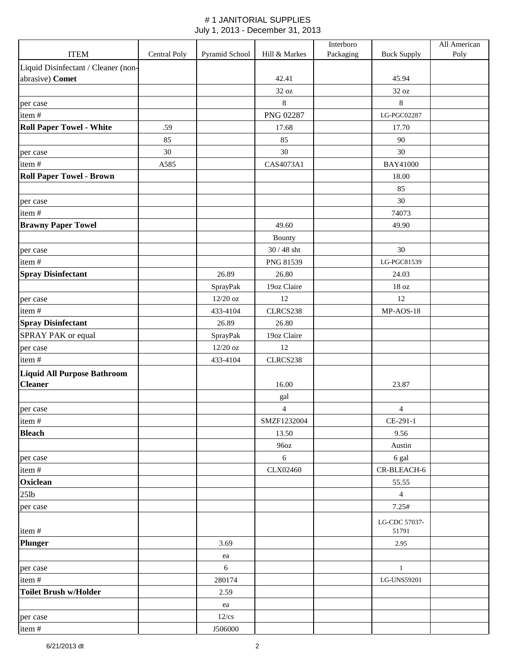|                                     |              |                |                  | Interboro |                    | All American |
|-------------------------------------|--------------|----------------|------------------|-----------|--------------------|--------------|
| <b>ITEM</b>                         | Central Poly | Pyramid School | Hill & Markes    | Packaging | <b>Buck Supply</b> | Poly         |
| Liquid Disinfectant / Cleaner (non- |              |                |                  |           |                    |              |
| abrasive) Comet                     |              |                | 42.41            |           | 45.94              |              |
|                                     |              |                | 32 oz            |           | 32 oz              |              |
| per case                            |              |                | $\,8\,$          |           | $\,8\,$            |              |
| item#                               |              |                | <b>PNG 02287</b> |           | LG-PGC02287        |              |
| <b>Roll Paper Towel - White</b>     | .59          |                | 17.68            |           | 17.70              |              |
|                                     | 85           |                | 85               |           | $90\,$             |              |
| per case                            | 30           |                | 30               |           | 30                 |              |
| item#                               | A585         |                | CAS4073A1        |           | <b>BAY41000</b>    |              |
| <b>Roll Paper Towel - Brown</b>     |              |                |                  |           | 18.00              |              |
|                                     |              |                |                  |           | 85                 |              |
| per case                            |              |                |                  |           | $30\,$             |              |
| item#                               |              |                |                  |           | 74073              |              |
| <b>Brawny Paper Towel</b>           |              |                | 49.60            |           | 49.90              |              |
|                                     |              |                | Bounty           |           |                    |              |
| per case                            |              |                | $30/48$ sht      |           | 30                 |              |
| item#                               |              |                | PNG 81539        |           | LG-PGC81539        |              |
| <b>Spray Disinfectant</b>           |              | 26.89          | 26.80            |           | 24.03              |              |
|                                     |              | SprayPak       | 19oz Claire      |           | 18 oz              |              |
| per case                            |              | 12/20 oz       | 12               |           | 12                 |              |
| item#                               |              | 433-4104       | CLRCS238         |           | MP-AOS-18          |              |
| <b>Spray Disinfectant</b>           |              | 26.89          | 26.80            |           |                    |              |
| SPRAY PAK or equal                  |              | SprayPak       | 19oz Claire      |           |                    |              |
| per case                            |              | $12/20$ oz     | 12               |           |                    |              |
| item#                               |              | 433-4104       | CLRCS238         |           |                    |              |
| <b>Liquid All Purpose Bathroom</b>  |              |                |                  |           |                    |              |
| <b>Cleaner</b>                      |              |                | 16.00            |           | 23.87              |              |
|                                     |              |                | gal              |           |                    |              |
| per case                            |              |                | $\overline{4}$   |           | 4                  |              |
| item#                               |              |                | SMZF1232004      |           | CE-291-1           |              |
| <b>Bleach</b>                       |              |                | 13.50            |           | 9.56               |              |
|                                     |              |                | 96oz             |           | Austin             |              |
| per case                            |              |                | $6\,$            |           | 6 gal              |              |
| item#                               |              |                | CLX02460         |           | CR-BLEACH-6        |              |
| Oxiclean                            |              |                |                  |           | 55.55              |              |
| 25lb                                |              |                |                  |           | $\overline{4}$     |              |
| per case                            |              |                |                  |           | 7.25#              |              |
|                                     |              |                |                  |           | LG-CDC 57037-      |              |
| item#                               |              |                |                  |           | 51791              |              |
| <b>Plunger</b>                      |              | 3.69           |                  |           | 2.95               |              |
|                                     |              | ea             |                  |           |                    |              |
| per case                            |              | $6\phantom{1}$ |                  |           | $\mathbf{1}$       |              |
| item#                               |              | 280174         |                  |           | LG-UNS59201        |              |
| <b>Toilet Brush w/Holder</b>        |              | 2.59           |                  |           |                    |              |
|                                     |              | ea             |                  |           |                    |              |
| per case                            |              | $12$ /cs       |                  |           |                    |              |
| item#                               |              | J506000        |                  |           |                    |              |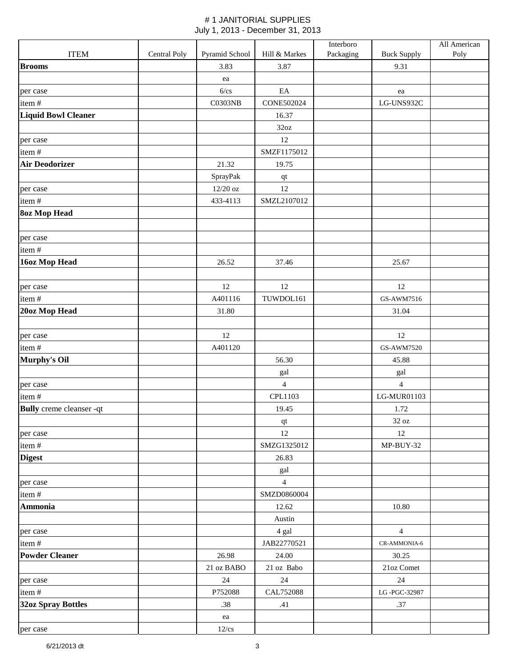|                                 |              |                |                   | Interboro |                    | All American |
|---------------------------------|--------------|----------------|-------------------|-----------|--------------------|--------------|
| <b>ITEM</b>                     | Central Poly | Pyramid School | Hill & Markes     | Packaging | <b>Buck Supply</b> | Poly         |
| <b>Brooms</b>                   |              | 3.83           | 3.87              |           | 9.31               |              |
|                                 |              | ea             |                   |           |                    |              |
| per case                        |              | 6/cs           | EA                |           | ea                 |              |
| item#                           |              | <b>C0303NB</b> | <b>CONE502024</b> |           | LG-UNS932C         |              |
| <b>Liquid Bowl Cleaner</b>      |              |                | 16.37             |           |                    |              |
|                                 |              |                | 32oz              |           |                    |              |
| per case                        |              |                | 12                |           |                    |              |
| item#                           |              |                | SMZF1175012       |           |                    |              |
| <b>Air Deodorizer</b>           |              | 21.32          | 19.75             |           |                    |              |
|                                 |              | SprayPak       | qt                |           |                    |              |
| per case                        |              | 12/20 oz       | 12                |           |                    |              |
| item#                           |              | 433-4113       | SMZL2107012       |           |                    |              |
| <b>8oz Mop Head</b>             |              |                |                   |           |                    |              |
|                                 |              |                |                   |           |                    |              |
| per case                        |              |                |                   |           |                    |              |
| item#                           |              |                |                   |           |                    |              |
| 16oz Mop Head                   |              | 26.52          | 37.46             |           | 25.67              |              |
|                                 |              |                |                   |           |                    |              |
| per case                        |              | 12             | 12                |           | 12                 |              |
| item#                           |              | A401116        | TUWDOL161         |           | GS-AWM7516         |              |
| 20oz Mop Head                   |              | 31.80          |                   |           | 31.04              |              |
|                                 |              |                |                   |           |                    |              |
| per case                        |              | 12             |                   |           | 12                 |              |
| item#                           |              | A401120        |                   |           | <b>GS-AWM7520</b>  |              |
| Murphy's Oil                    |              |                | 56.30             |           | 45.88              |              |
|                                 |              |                | gal               |           | gal                |              |
| per case                        |              |                | $\overline{4}$    |           | $\overline{4}$     |              |
| item#                           |              |                | CPL1103           |           | LG-MUR01103        |              |
| <b>Bully</b> creme cleanser -qt |              |                | 19.45             |           | 1.72               |              |
|                                 |              |                | $\bf qt$          |           | $32\ \mathrm{oz}$  |              |
| per case                        |              |                | 12                |           | 12                 |              |
| item#                           |              |                | SMZG1325012       |           | MP-BUY-32          |              |
| <b>Digest</b>                   |              |                | 26.83             |           |                    |              |
|                                 |              |                | gal               |           |                    |              |
| per case                        |              |                | $\overline{4}$    |           |                    |              |
| item#                           |              |                | SMZD0860004       |           |                    |              |
| <b>Ammonia</b>                  |              |                | 12.62             |           | 10.80              |              |
|                                 |              |                | Austin            |           |                    |              |
| per case                        |              |                | 4 gal             |           | $\overline{4}$     |              |
| item#                           |              |                | JAB22770521       |           | CR-AMMONIA-6       |              |
| <b>Powder Cleaner</b>           |              | 26.98          | 24.00             |           | 30.25              |              |
|                                 |              | 21 oz BABO     | 21 oz Babo        |           | 21oz Comet         |              |
| per case                        |              | $24\,$         | 24                |           | 24                 |              |
| item#                           |              | P752088        | CAL752088         |           | LG-PGC-32987       |              |
| <b>32oz Spray Bottles</b>       |              | .38            | .41               |           | .37                |              |
|                                 |              | ea             |                   |           |                    |              |
| per case                        |              | $12$ /cs       |                   |           |                    |              |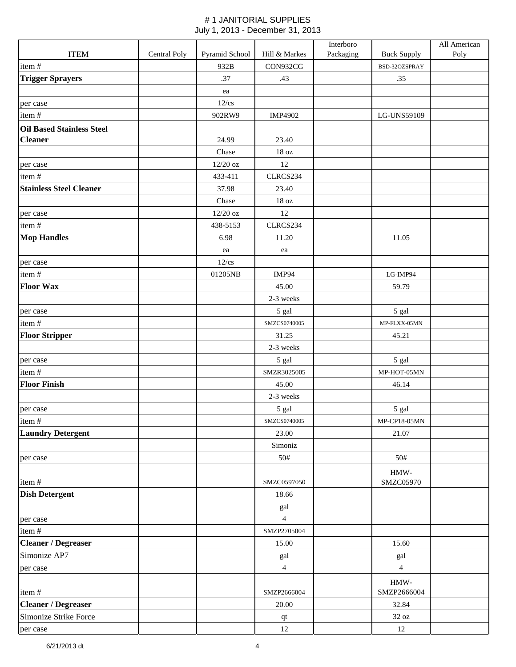|                                  |              |                |                   | Interboro |                                    | All American |
|----------------------------------|--------------|----------------|-------------------|-----------|------------------------------------|--------------|
| <b>ITEM</b>                      | Central Poly | Pyramid School | Hill & Markes     | Packaging | <b>Buck Supply</b>                 | Poly         |
| item#                            |              | 932B           | CON932CG          |           | BSD-32OZSPRAY                      |              |
| <b>Trigger Sprayers</b>          |              | .37            | .43               |           | .35                                |              |
|                                  |              | ea             |                   |           |                                    |              |
| per case                         |              | $12$ /cs       |                   |           |                                    |              |
| item#                            |              | 902RW9         | IMP4902           |           | LG-UNS59109                        |              |
| <b>Oil Based Stainless Steel</b> |              |                |                   |           |                                    |              |
| <b>Cleaner</b>                   |              | 24.99          | 23.40             |           |                                    |              |
|                                  |              | Chase          | $18\,\mathrm{oz}$ |           |                                    |              |
| per case                         |              | 12/20 oz       | 12                |           |                                    |              |
| item#                            |              | 433-411        | CLRCS234          |           |                                    |              |
| <b>Stainless Steel Cleaner</b>   |              | 37.98          | 23.40             |           |                                    |              |
|                                  |              | Chase          | $18\,\mathrm{oz}$ |           |                                    |              |
| per case                         |              | 12/20 oz       | 12                |           |                                    |              |
| item#                            |              | 438-5153       | CLRCS234          |           |                                    |              |
| <b>Mop Handles</b>               |              | 6.98           | 11.20             |           | 11.05                              |              |
|                                  |              | ea             | ea                |           |                                    |              |
| per case                         |              | $12$ /cs       |                   |           |                                    |              |
| item#                            |              | 01205NB        | IMP94             |           | LG-IMP94                           |              |
| <b>Floor Wax</b>                 |              |                | 45.00             |           | 59.79                              |              |
|                                  |              |                | 2-3 weeks         |           |                                    |              |
| per case                         |              |                | 5 gal             |           | 5 gal                              |              |
| item#                            |              |                | SMZCS0740005      |           | MP-FLXX-05MN                       |              |
| <b>Floor Stripper</b>            |              |                | 31.25             |           | 45.21                              |              |
|                                  |              |                | 2-3 weeks         |           |                                    |              |
| per case                         |              |                | 5 gal             |           | 5 gal                              |              |
| item#                            |              |                | SMZR3025005       |           | MP-HOT-05MN                        |              |
| <b>Floor Finish</b>              |              |                | 45.00             |           | 46.14                              |              |
|                                  |              |                | 2-3 weeks         |           |                                    |              |
| per case                         |              |                | 5 gal             |           | 5 gal                              |              |
| item#                            |              |                | SMZCS0740005      |           | MP-CP18-05MN                       |              |
| <b>Laundry Detergent</b>         |              |                | 23.00             |           | 21.07                              |              |
|                                  |              |                | Simoniz           |           |                                    |              |
| per case                         |              |                | 50#               |           | 50#                                |              |
| item#                            |              |                | SMZC0597050       |           | $\operatorname{HMW-}$<br>SMZC05970 |              |
| <b>Dish Detergent</b>            |              |                | 18.66             |           |                                    |              |
|                                  |              |                | gal               |           |                                    |              |
| per case                         |              |                | $\overline{4}$    |           |                                    |              |
| item#                            |              |                | SMZP2705004       |           |                                    |              |
| <b>Cleaner / Degreaser</b>       |              |                | 15.00             |           | 15.60                              |              |
| Simonize AP7                     |              |                | gal               |           | gal                                |              |
| per case                         |              |                | $\overline{4}$    |           | $\overline{4}$                     |              |
|                                  |              |                |                   |           | $\operatorname{HMW-}$              |              |
| item#                            |              |                | SMZP2666004       |           | SMZP2666004                        |              |
| <b>Cleaner / Degreaser</b>       |              |                | 20.00             |           | 32.84                              |              |
| Simonize Strike Force            |              |                | $\bf qt$          |           | $32\ \mathrm{oz}$                  |              |
| per case                         |              |                | $12\,$            |           | 12                                 |              |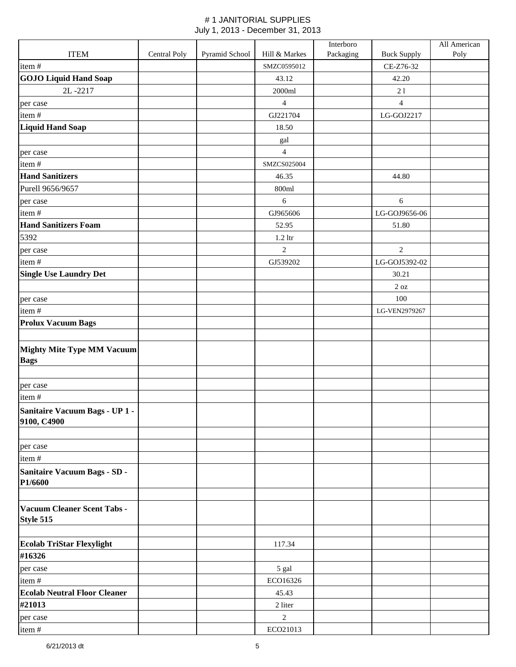|                                                  |              |                |                | Interboro |                    | All American |
|--------------------------------------------------|--------------|----------------|----------------|-----------|--------------------|--------------|
| <b>ITEM</b>                                      | Central Poly | Pyramid School | Hill & Markes  | Packaging | <b>Buck Supply</b> | Poly         |
| item#                                            |              |                | SMZC0595012    |           | CE-Z76-32          |              |
| <b>GOJO Liquid Hand Soap</b>                     |              |                | 43.12          |           | 42.20              |              |
| 2L-2217                                          |              |                | 2000ml         |           | 21                 |              |
| per case                                         |              |                | $\overline{4}$ |           | $\overline{4}$     |              |
| item#                                            |              |                | GJ221704       |           | LG-GOJ2217         |              |
| <b>Liquid Hand Soap</b>                          |              |                | 18.50          |           |                    |              |
|                                                  |              |                | gal            |           |                    |              |
| per case                                         |              |                | $\overline{4}$ |           |                    |              |
| item#                                            |              |                | SMZCS025004    |           |                    |              |
| <b>Hand Sanitizers</b>                           |              |                | 46.35          |           | 44.80              |              |
| Purell 9656/9657                                 |              |                | 800ml          |           |                    |              |
| per case                                         |              |                | $\sqrt{6}$     |           | $\boldsymbol{6}$   |              |
| item#                                            |              |                | GJ965606       |           | LG-GOJ9656-06      |              |
| <b>Hand Sanitizers Foam</b>                      |              |                | 52.95          |           | 51.80              |              |
| 5392                                             |              |                | $1.2$ ltr      |           |                    |              |
| per case                                         |              |                | $\overline{2}$ |           | $\overline{2}$     |              |
| item#                                            |              |                | GJ539202       |           | LG-GOJ5392-02      |              |
| <b>Single Use Laundry Det</b>                    |              |                |                |           | 30.21              |              |
|                                                  |              |                |                |           | $2\ \mathrm{oz}$   |              |
| per case                                         |              |                |                |           | 100                |              |
| item#                                            |              |                |                |           | LG-VEN2979267      |              |
| <b>Prolux Vacuum Bags</b>                        |              |                |                |           |                    |              |
| <b>Mighty Mite Type MM Vacuum</b><br><b>Bags</b> |              |                |                |           |                    |              |
| per case                                         |              |                |                |           |                    |              |
| item#                                            |              |                |                |           |                    |              |
| Sanitaire Vacuum Bags - UP 1 -<br>9100, C4900    |              |                |                |           |                    |              |
| per case                                         |              |                |                |           |                    |              |
| item#                                            |              |                |                |           |                    |              |
| <b>Sanitaire Vacuum Bags - SD -</b><br>P1/6600   |              |                |                |           |                    |              |
| Vacuum Cleaner Scent Tabs -<br>Style 515         |              |                |                |           |                    |              |
| <b>Ecolab TriStar Flexylight</b><br>#16326       |              |                | 117.34         |           |                    |              |
| per case                                         |              |                | 5 gal          |           |                    |              |
| item#                                            |              |                | ECO16326       |           |                    |              |
| <b>Ecolab Neutral Floor Cleaner</b>              |              |                | 45.43          |           |                    |              |
| #21013                                           |              |                | 2 liter        |           |                    |              |
| per case                                         |              |                | $\overline{2}$ |           |                    |              |
| item#                                            |              |                | ECO21013       |           |                    |              |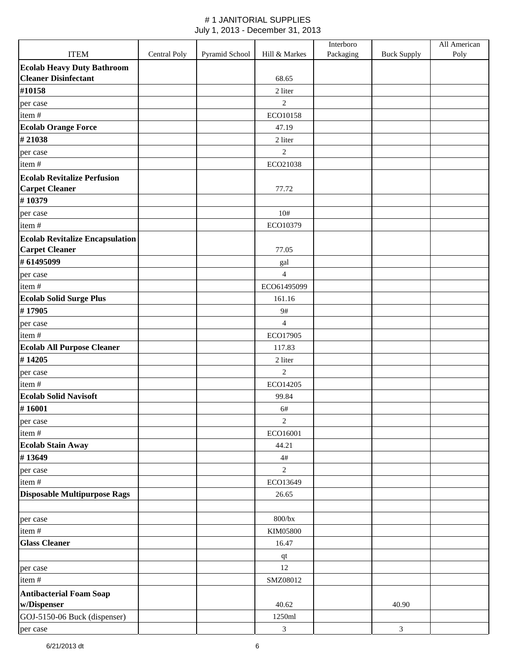|                                                                 |              |                |                                               | Interboro |                    | All American |
|-----------------------------------------------------------------|--------------|----------------|-----------------------------------------------|-----------|--------------------|--------------|
| <b>ITEM</b>                                                     | Central Poly | Pyramid School | Hill & Markes                                 | Packaging | <b>Buck Supply</b> | Poly         |
| <b>Ecolab Heavy Duty Bathroom</b>                               |              |                |                                               |           |                    |              |
| <b>Cleaner Disinfectant</b>                                     |              |                | 68.65                                         |           |                    |              |
| #10158                                                          |              |                | 2 liter                                       |           |                    |              |
| per case                                                        |              |                | $\overline{c}$                                |           |                    |              |
| item#                                                           |              |                | ECO10158                                      |           |                    |              |
| <b>Ecolab Orange Force</b>                                      |              |                | 47.19                                         |           |                    |              |
| #21038                                                          |              |                | 2 liter                                       |           |                    |              |
| per case                                                        |              |                | $\overline{c}$                                |           |                    |              |
| item#                                                           |              |                | ECO21038                                      |           |                    |              |
| <b>Ecolab Revitalize Perfusion</b>                              |              |                |                                               |           |                    |              |
| <b>Carpet Cleaner</b>                                           |              |                | 77.72                                         |           |                    |              |
| #10379                                                          |              |                |                                               |           |                    |              |
| per case                                                        |              |                | 10#<br>ECO10379                               |           |                    |              |
| item#                                                           |              |                |                                               |           |                    |              |
| <b>Ecolab Revitalize Encapsulation</b><br><b>Carpet Cleaner</b> |              |                | 77.05                                         |           |                    |              |
| #61495099                                                       |              |                |                                               |           |                    |              |
| per case                                                        |              |                | $\ensuremath{\mathrm{gal}}$<br>$\overline{4}$ |           |                    |              |
| item#                                                           |              |                | ECO61495099                                   |           |                    |              |
| <b>Ecolab Solid Surge Plus</b>                                  |              |                | 161.16                                        |           |                    |              |
| #17905                                                          |              |                | 9#                                            |           |                    |              |
| per case                                                        |              |                | $\overline{4}$                                |           |                    |              |
| item#                                                           |              |                | ECO17905                                      |           |                    |              |
| <b>Ecolab All Purpose Cleaner</b>                               |              |                | 117.83                                        |           |                    |              |
| #14205                                                          |              |                | 2 liter                                       |           |                    |              |
| per case                                                        |              |                | $\overline{2}$                                |           |                    |              |
| item#                                                           |              |                | ECO14205                                      |           |                    |              |
| <b>Ecolab Solid Navisoft</b>                                    |              |                | 99.84                                         |           |                    |              |
| #16001                                                          |              |                | 6#                                            |           |                    |              |
| per case                                                        |              |                | $\overline{c}$                                |           |                    |              |
| item#                                                           |              |                | ECO16001                                      |           |                    |              |
| <b>Ecolab Stain Away</b>                                        |              |                | 44.21                                         |           |                    |              |
| #13649                                                          |              |                | $4\#$                                         |           |                    |              |
| per case                                                        |              |                | $\overline{c}$                                |           |                    |              |
| item#                                                           |              |                | ECO13649                                      |           |                    |              |
| <b>Disposable Multipurpose Rags</b>                             |              |                | 26.65                                         |           |                    |              |
|                                                                 |              |                |                                               |           |                    |              |
| per case                                                        |              |                | $800{\rm /bx}$                                |           |                    |              |
| item#                                                           |              |                | KIM05800                                      |           |                    |              |
| <b>Glass Cleaner</b>                                            |              |                | 16.47                                         |           |                    |              |
|                                                                 |              |                | qt                                            |           |                    |              |
| per case                                                        |              |                | 12                                            |           |                    |              |
| item#                                                           |              |                | SMZ08012                                      |           |                    |              |
| <b>Antibacterial Foam Soap</b>                                  |              |                |                                               |           |                    |              |
| w/Dispenser                                                     |              |                | 40.62                                         |           | 40.90              |              |
| GOJ-5150-06 Buck (dispenser)                                    |              |                | 1250ml                                        |           |                    |              |
| per case                                                        |              |                | $\mathfrak{Z}$                                |           | $\mathfrak{Z}$     |              |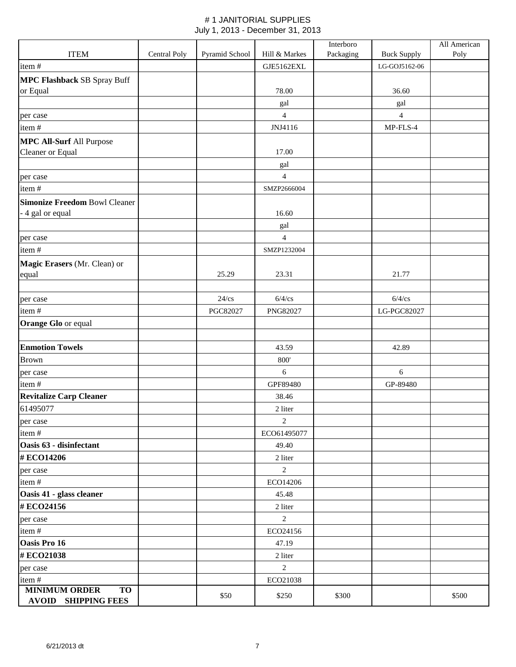|                                         |              |                |                | Interboro |                    | All American |
|-----------------------------------------|--------------|----------------|----------------|-----------|--------------------|--------------|
| <b>ITEM</b>                             | Central Poly | Pyramid School | Hill & Markes  | Packaging | <b>Buck Supply</b> | Poly         |
| item#                                   |              |                | GJE5162EXL     |           | LG-GOJ5162-06      |              |
| <b>MPC Flashback SB Spray Buff</b>      |              |                |                |           |                    |              |
| or Equal                                |              |                | 78.00          |           | 36.60              |              |
|                                         |              |                | gal            |           | gal                |              |
| per case                                |              |                | $\overline{4}$ |           | $\overline{4}$     |              |
| item#                                   |              |                | JNJ4116        |           | MP-FLS-4           |              |
| <b>MPC All-Surf All Purpose</b>         |              |                |                |           |                    |              |
| Cleaner or Equal                        |              |                | 17.00          |           |                    |              |
|                                         |              |                | gal            |           |                    |              |
| per case                                |              |                | $\overline{4}$ |           |                    |              |
| item#                                   |              |                | SMZP2666004    |           |                    |              |
| <b>Simonize Freedom Bowl Cleaner</b>    |              |                |                |           |                    |              |
| - 4 gal or equal                        |              |                | 16.60          |           |                    |              |
|                                         |              |                | gal            |           |                    |              |
| per case                                |              |                | $\overline{4}$ |           |                    |              |
| item#                                   |              |                | SMZP1232004    |           |                    |              |
| Magic Erasers (Mr. Clean) or            |              |                |                |           |                    |              |
| equal                                   |              | 25.29          | 23.31          |           | 21.77              |              |
|                                         |              |                |                |           |                    |              |
| per case                                |              | $24$ /cs       | $6/4$ /cs      |           | $6/4$ /cs          |              |
| item#                                   |              | PGC82027       | PNG82027       |           | LG-PGC82027        |              |
| <b>Orange Glo or equal</b>              |              |                |                |           |                    |              |
|                                         |              |                |                |           |                    |              |
| <b>Enmotion Towels</b>                  |              |                | 43.59          |           | 42.89              |              |
| <b>Brown</b>                            |              |                | 800'           |           |                    |              |
| per case                                |              |                | 6              |           | 6                  |              |
| item#                                   |              |                | GPF89480       |           | GP-89480           |              |
| <b>Revitalize Carp Cleaner</b>          |              |                | 38.46          |           |                    |              |
| 61495077                                |              |                | 2 liter        |           |                    |              |
| per case                                |              |                | 2              |           |                    |              |
| item#                                   |              |                | ECO61495077    |           |                    |              |
| Oasis 63 - disinfectant                 |              |                | 49.40          |           |                    |              |
| #ECO14206                               |              |                | 2 liter        |           |                    |              |
| per case                                |              |                | $\overline{2}$ |           |                    |              |
| item#                                   |              |                | ECO14206       |           |                    |              |
| Oasis 41 - glass cleaner                |              |                | 45.48          |           |                    |              |
| #ECO24156                               |              |                | 2 liter        |           |                    |              |
| per case                                |              |                | $\overline{2}$ |           |                    |              |
| item#                                   |              |                | ECO24156       |           |                    |              |
| Oasis Pro 16                            |              |                | 47.19          |           |                    |              |
| #ECO21038                               |              |                | 2 liter        |           |                    |              |
| per case                                |              |                | $\overline{2}$ |           |                    |              |
| item#                                   |              |                | ECO21038       |           |                    |              |
| <b>MINIMUM ORDER</b><br>TO <sub>1</sub> |              | \$50           | \$250          | \$300     |                    | \$500        |
| <b>AVOID SHIPPING FEES</b>              |              |                |                |           |                    |              |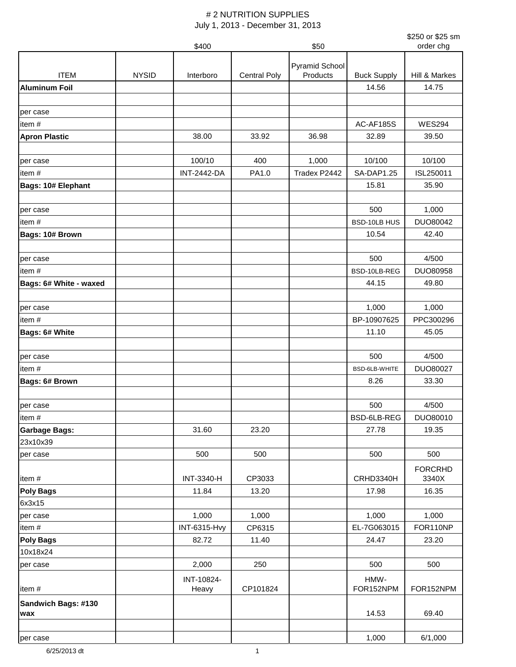|                            |              | \$400               |                     | \$50           |                    | \$250 or \$25 sm<br>order chg |
|----------------------------|--------------|---------------------|---------------------|----------------|--------------------|-------------------------------|
|                            |              |                     |                     |                |                    |                               |
|                            |              |                     |                     | Pyramid School |                    |                               |
| <b>ITEM</b>                | <b>NYSID</b> | Interboro           | <b>Central Poly</b> | Products       | <b>Buck Supply</b> | Hill & Markes                 |
| <b>Aluminum Foil</b>       |              |                     |                     |                | 14.56              | 14.75                         |
|                            |              |                     |                     |                |                    |                               |
| per case                   |              |                     |                     |                |                    |                               |
| item#                      |              |                     |                     |                | AC-AF185S          | <b>WES294</b>                 |
| <b>Apron Plastic</b>       |              | 38.00               | 33.92               | 36.98          | 32.89              | 39.50                         |
| per case                   |              | 100/10              | 400                 | 1,000          | 10/100             | 10/100                        |
| item#                      |              | <b>INT-2442-DA</b>  | PA1.0               | Tradex P2442   | <b>SA-DAP1.25</b>  | ISL250011                     |
| <b>Bags: 10# Elephant</b>  |              |                     |                     |                | 15.81              | 35.90                         |
|                            |              |                     |                     |                |                    |                               |
| per case                   |              |                     |                     |                | 500                | 1,000                         |
| item#                      |              |                     |                     |                | BSD-10LB HUS       | DUO80042                      |
| Bags: 10# Brown            |              |                     |                     |                | 10.54              | 42.40                         |
| per case                   |              |                     |                     |                | 500                | 4/500                         |
| item#                      |              |                     |                     |                | BSD-10LB-REG       | DUO80958                      |
| Bags: 6# White - waxed     |              |                     |                     |                | 44.15              | 49.80                         |
|                            |              |                     |                     |                |                    |                               |
| per case                   |              |                     |                     |                | 1,000              | 1,000                         |
| item#                      |              |                     |                     |                | BP-10907625        | PPC300296                     |
| Bags: 6# White             |              |                     |                     |                | 11.10              | 45.05                         |
|                            |              |                     |                     |                |                    |                               |
| per case                   |              |                     |                     |                | 500                | 4/500                         |
| item#                      |              |                     |                     |                | BSD-6LB-WHITE      | DUO80027                      |
| Bags: 6# Brown             |              |                     |                     |                | 8.26               | 33.30                         |
|                            |              |                     |                     |                |                    |                               |
| per case                   |              |                     |                     |                | 500                | 4/500                         |
| item#                      |              |                     |                     |                | BSD-6LB-REG        | DUO80010                      |
| <b>Garbage Bags:</b>       |              | 31.60               | 23.20               |                | 27.78              | 19.35                         |
| 23x10x39                   |              |                     |                     |                |                    |                               |
| per case                   |              | 500                 | 500                 |                | 500                | 500                           |
| item#                      |              | <b>INT-3340-H</b>   | CP3033              |                | CRHD3340H          | <b>FORCRHD</b><br>3340X       |
| <b>Poly Bags</b>           |              | 11.84               | 13.20               |                | 17.98              | 16.35                         |
| 6x3x15                     |              |                     |                     |                |                    |                               |
| per case                   |              | 1,000               | 1,000               |                | 1,000              | 1,000                         |
| item#                      |              | <b>INT-6315-Hvy</b> | CP6315              |                | EL-7G063015        | FOR110NP                      |
| <b>Poly Bags</b>           |              | 82.72               | 11.40               |                | 24.47              | 23.20                         |
| 10x18x24                   |              |                     |                     |                |                    |                               |
| per case                   |              | 2,000               | 250                 |                | 500                | 500                           |
| item#                      |              | INT-10824-<br>Heavy | CP101824            |                | HMW-<br>FOR152NPM  | FOR152NPM                     |
| Sandwich Bags: #130<br>wax |              |                     |                     |                | 14.53              | 69.40                         |
| per case                   |              |                     |                     |                | 1,000              | 6/1,000                       |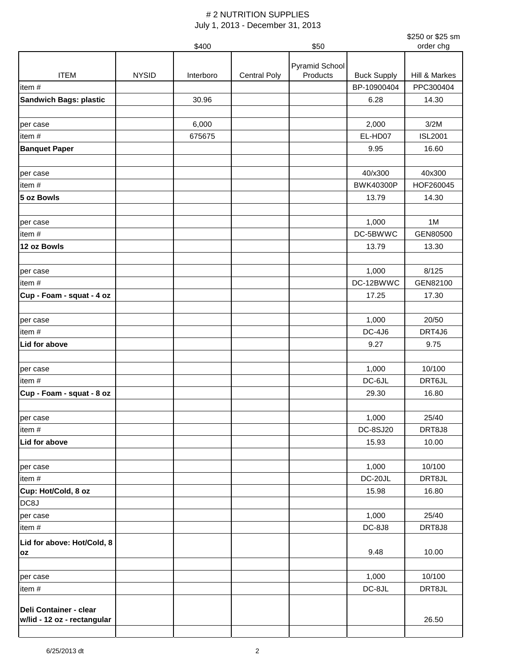|                               |              |           |                     |                       |                    | \$250 or \$25 sm |
|-------------------------------|--------------|-----------|---------------------|-----------------------|--------------------|------------------|
|                               |              | \$400     |                     | \$50                  |                    | order chg        |
|                               |              |           |                     | <b>Pyramid School</b> |                    |                  |
| <b>ITEM</b>                   | <b>NYSID</b> | Interboro | <b>Central Poly</b> | Products              | <b>Buck Supply</b> | Hill & Markes    |
| item#                         |              |           |                     |                       | BP-10900404        | PPC300404        |
| <b>Sandwich Bags: plastic</b> |              | 30.96     |                     |                       | 6.28               | 14.30            |
|                               |              |           |                     |                       |                    |                  |
| per case                      |              | 6,000     |                     |                       | 2,000              | 3/2M             |
| item#                         |              | 675675    |                     |                       | EL-HD07            | <b>ISL2001</b>   |
| <b>Banquet Paper</b>          |              |           |                     |                       | 9.95               | 16.60            |
| per case                      |              |           |                     |                       | 40/x300            | 40x300           |
| item#                         |              |           |                     |                       | <b>BWK40300P</b>   | HOF260045        |
| 5 oz Bowls                    |              |           |                     |                       | 13.79              | 14.30            |
|                               |              |           |                     |                       |                    |                  |
| per case                      |              |           |                     |                       | 1,000              | 1M               |
| item#                         |              |           |                     |                       | DC-5BWWC           | GEN80500         |
| 12 oz Bowls                   |              |           |                     |                       | 13.79              | 13.30            |
|                               |              |           |                     |                       |                    |                  |
| per case                      |              |           |                     |                       | 1,000              | 8/125            |
| item#                         |              |           |                     |                       | DC-12BWWC          | GEN82100         |
| Cup - Foam - squat - 4 oz     |              |           |                     |                       | 17.25              | 17.30            |
|                               |              |           |                     |                       |                    |                  |
| per case                      |              |           |                     |                       | 1,000              | 20/50            |
| item#                         |              |           |                     |                       | <b>DC-4J6</b>      | DRT4J6           |
| Lid for above                 |              |           |                     |                       | 9.27               | 9.75             |
|                               |              |           |                     |                       |                    |                  |
| per case                      |              |           |                     |                       | 1,000              | 10/100           |
| item#                         |              |           |                     |                       | DC-6JL             | DRT6JL           |
| Cup - Foam - squat - 8 oz     |              |           |                     |                       | 29.30              | 16.80            |
| per case                      |              |           |                     |                       | 1,000              | 25/40            |
| item#                         |              |           |                     |                       | DC-8SJ20           | DRT8J8           |
| Lid for above                 |              |           |                     |                       | 15.93              | 10.00            |
|                               |              |           |                     |                       |                    |                  |
| per case                      |              |           |                     |                       | 1,000              | 10/100           |
| item#                         |              |           |                     |                       | DC-20JL            | DRT8JL           |
| Cup: Hot/Cold, 8 oz           |              |           |                     |                       | 15.98              | 16.80            |
| DC8J                          |              |           |                     |                       |                    |                  |
| per case                      |              |           |                     |                       | 1,000              | 25/40            |
| item#                         |              |           |                     |                       | <b>DC-8J8</b>      | DRT8J8           |
| Lid for above: Hot/Cold, 8    |              |           |                     |                       |                    |                  |
| OZ                            |              |           |                     |                       | 9.48               | 10.00            |
|                               |              |           |                     |                       |                    |                  |
| per case                      |              |           |                     |                       | 1,000              | 10/100           |
| item#                         |              |           |                     |                       | DC-8JL             | DRT8JL           |
|                               |              |           |                     |                       |                    |                  |
| Deli Container - clear        |              |           |                     |                       |                    |                  |
| w/lid - 12 oz - rectangular   |              |           |                     |                       |                    | 26.50            |
|                               |              |           |                     |                       |                    |                  |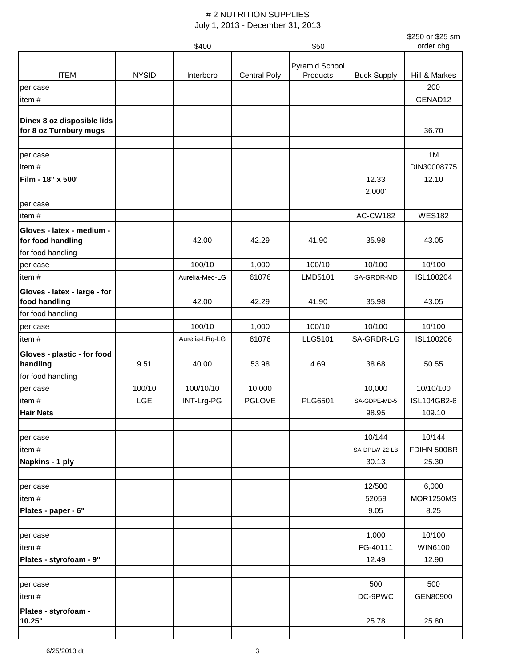|                              |              |                |                     |                |                    | \$250 or \$25 sm<br>order chg |
|------------------------------|--------------|----------------|---------------------|----------------|--------------------|-------------------------------|
|                              |              | \$400          |                     | \$50           |                    |                               |
|                              |              |                |                     | Pyramid School |                    |                               |
| <b>ITEM</b>                  | <b>NYSID</b> | Interboro      | <b>Central Poly</b> | Products       | <b>Buck Supply</b> | Hill & Markes                 |
| per case                     |              |                |                     |                |                    | 200                           |
| item#                        |              |                |                     |                |                    | GENAD12                       |
| Dinex 8 oz disposible lids   |              |                |                     |                |                    |                               |
| for 8 oz Turnbury mugs       |              |                |                     |                |                    | 36.70                         |
|                              |              |                |                     |                |                    |                               |
| per case                     |              |                |                     |                |                    | 1M                            |
| item#                        |              |                |                     |                |                    | DIN30008775                   |
| Film - 18" x 500'            |              |                |                     |                | 12.33              | 12.10                         |
|                              |              |                |                     |                | 2,000'             |                               |
| per case                     |              |                |                     |                |                    |                               |
| item#                        |              |                |                     |                | <b>AC-CW182</b>    | <b>WES182</b>                 |
| Gloves - latex - medium -    |              |                |                     |                |                    |                               |
| for food handling            |              | 42.00          | 42.29               | 41.90          | 35.98              | 43.05                         |
| for food handling            |              |                |                     |                |                    |                               |
| per case                     |              | 100/10         | 1,000               | 100/10         | 10/100             | 10/100                        |
| item#                        |              | Aurelia-Med-LG | 61076               | LMD5101        | SA-GRDR-MD         | ISL100204                     |
| Gloves - latex - large - for |              |                |                     |                |                    |                               |
| food handling                |              | 42.00          | 42.29               | 41.90          | 35.98              | 43.05                         |
| for food handling            |              |                |                     |                |                    |                               |
| per case                     |              | 100/10         | 1,000               | 100/10         | 10/100             | 10/100                        |
| item#                        |              | Aurelia-LRg-LG | 61076               | LLG5101        | SA-GRDR-LG         | ISL100206                     |
| Gloves - plastic - for food  |              |                |                     |                |                    |                               |
| handling                     | 9.51         | 40.00          | 53.98               | 4.69           | 38.68              | 50.55                         |
| for food handling            |              |                |                     |                |                    |                               |
| per case                     | 100/10       | 100/10/10      | 10,000              |                | 10,000             | 10/10/100                     |
| item#                        | LGE          | INT-Lrg-PG     | <b>PGLOVE</b>       | <b>PLG6501</b> | SA-GDPE-MD-5       | ISL104GB2-6                   |
| <b>Hair Nets</b>             |              |                |                     |                | 98.95              | 109.10                        |
|                              |              |                |                     |                |                    |                               |
| per case                     |              |                |                     |                | 10/144             | 10/144                        |
| item#                        |              |                |                     |                | SA-DPLW-22-LB      | FDIHN 500BR                   |
| Napkins - 1 ply              |              |                |                     |                | 30.13              | 25.30                         |
|                              |              |                |                     |                |                    |                               |
| per case                     |              |                |                     |                | 12/500             | 6,000                         |
| item#                        |              |                |                     |                | 52059              | <b>MOR1250MS</b>              |
| Plates - paper - 6"          |              |                |                     |                | 9.05               | 8.25                          |
| per case                     |              |                |                     |                | 1,000              | 10/100                        |
| item#                        |              |                |                     |                | FG-40111           | WIN6100                       |
| Plates - styrofoam - 9"      |              |                |                     |                | 12.49              | 12.90                         |
|                              |              |                |                     |                |                    |                               |
| per case                     |              |                |                     |                | 500                | 500                           |
| item#                        |              |                |                     |                | DC-9PWC            | GEN80900                      |
| Plates - styrofoam -         |              |                |                     |                |                    |                               |
| 10.25"                       |              |                |                     |                | 25.78              | 25.80                         |
|                              |              |                |                     |                |                    |                               |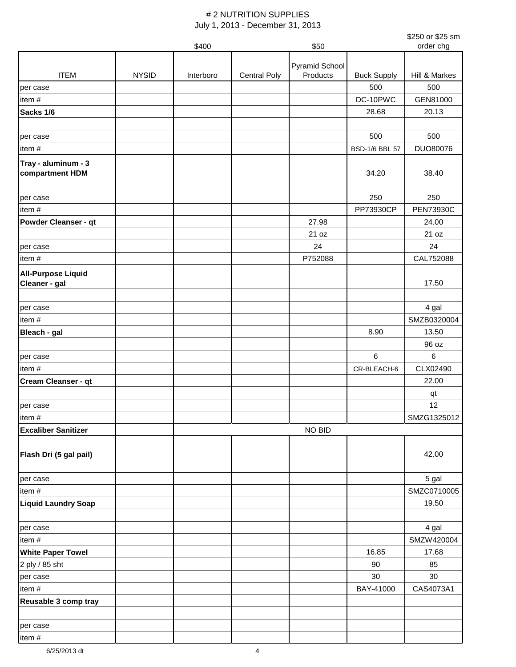|                                            |              |           |                     |                |                       | \$250 or \$25 sm     |
|--------------------------------------------|--------------|-----------|---------------------|----------------|-----------------------|----------------------|
|                                            |              | \$400     |                     | \$50           |                       | order chg            |
|                                            |              |           |                     | Pyramid School |                       |                      |
| <b>ITEM</b>                                | <b>NYSID</b> | Interboro | <b>Central Poly</b> | Products       | <b>Buck Supply</b>    | Hill & Markes        |
| per case                                   |              |           |                     |                | 500                   | 500                  |
| item#                                      |              |           |                     |                | DC-10PWC              | GEN81000             |
| Sacks 1/6                                  |              |           |                     |                | 28.68                 | 20.13                |
|                                            |              |           |                     |                |                       |                      |
| per case                                   |              |           |                     |                | 500                   | 500                  |
| item#                                      |              |           |                     |                | <b>BSD-1/6 BBL 57</b> | DUO80076             |
| Tray - aluminum - 3                        |              |           |                     |                |                       |                      |
| compartment HDM                            |              |           |                     |                | 34.20                 | 38.40                |
|                                            |              |           |                     |                |                       |                      |
| per case                                   |              |           |                     |                | 250                   | 250                  |
| item#                                      |              |           |                     |                | PP73930CP             | <b>PEN73930C</b>     |
| <b>Powder Cleanser - qt</b>                |              |           |                     | 27.98          |                       | 24.00                |
|                                            |              |           |                     | 21 oz          |                       | 21 oz                |
| per case                                   |              |           |                     | 24             |                       | 24                   |
| item#                                      |              |           |                     | P752088        |                       | CAL752088            |
|                                            |              |           |                     |                |                       |                      |
| <b>All-Purpose Liquid</b><br>Cleaner - gal |              |           |                     |                |                       | 17.50                |
|                                            |              |           |                     |                |                       |                      |
| per case                                   |              |           |                     |                |                       |                      |
| item#                                      |              |           |                     |                |                       | 4 gal<br>SMZB0320004 |
|                                            |              |           |                     |                | 8.90                  | 13.50                |
| Bleach - gal                               |              |           |                     |                |                       |                      |
|                                            |              |           |                     |                | 6                     | 96 oz<br>6           |
| per case                                   |              |           |                     |                |                       | CLX02490             |
| item#                                      |              |           |                     |                | CR-BLEACH-6           |                      |
| <b>Cream Cleanser - qt</b>                 |              |           |                     |                |                       | 22.00                |
|                                            |              |           |                     |                |                       | qt                   |
| per case                                   |              |           |                     |                |                       | 12                   |
| item#                                      |              |           |                     |                |                       | SMZG1325012          |
| <b>Excaliber Sanitizer</b>                 |              |           |                     | NO BID         |                       |                      |
|                                            |              |           |                     |                |                       |                      |
| Flash Dri (5 gal pail)                     |              |           |                     |                |                       | 42.00                |
|                                            |              |           |                     |                |                       |                      |
| per case                                   |              |           |                     |                |                       | 5 gal                |
| item#                                      |              |           |                     |                |                       | SMZC0710005          |
| <b>Liquid Laundry Soap</b>                 |              |           |                     |                |                       | 19.50                |
|                                            |              |           |                     |                |                       |                      |
| per case                                   |              |           |                     |                |                       | 4 gal                |
| item#                                      |              |           |                     |                |                       | SMZW420004           |
| <b>White Paper Towel</b>                   |              |           |                     |                | 16.85                 | 17.68                |
| 2 ply / 85 sht                             |              |           |                     |                | 90                    | 85                   |
| per case                                   |              |           |                     |                | 30                    | 30                   |
| item#                                      |              |           |                     |                | BAY-41000             | CAS4073A1            |
| Reusable 3 comp tray                       |              |           |                     |                |                       |                      |
|                                            |              |           |                     |                |                       |                      |
| per case                                   |              |           |                     |                |                       |                      |
| item#                                      |              |           |                     |                |                       |                      |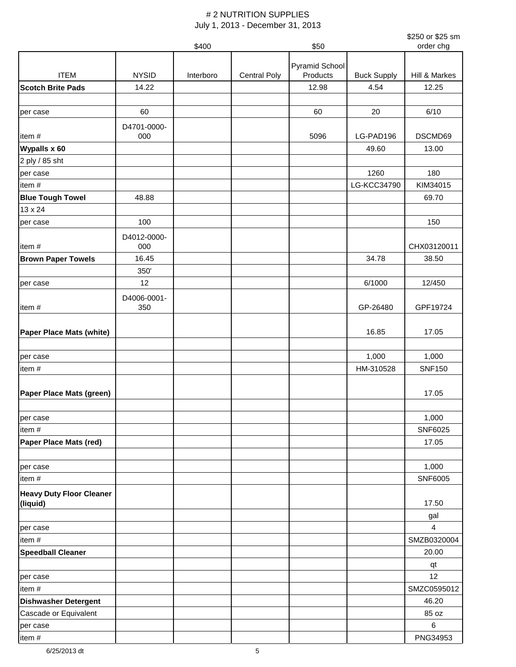|                                 |                    |           |                     |                |                    | \$250 or \$25 sm       |
|---------------------------------|--------------------|-----------|---------------------|----------------|--------------------|------------------------|
|                                 |                    | \$400     |                     | \$50           |                    | order chg              |
|                                 |                    |           |                     | Pyramid School |                    |                        |
| <b>ITEM</b>                     | <b>NYSID</b>       | Interboro | <b>Central Poly</b> | Products       | <b>Buck Supply</b> | Hill & Markes          |
| <b>Scotch Brite Pads</b>        | 14.22              |           |                     | 12.98          | 4.54               | 12.25                  |
|                                 |                    |           |                     |                |                    |                        |
| per case                        | 60                 |           |                     | 60             | 20                 | 6/10                   |
|                                 | D4701-0000-        |           |                     |                |                    |                        |
| item#                           | 000                |           |                     | 5096           | LG-PAD196          | DSCMD69                |
| Wypalls x 60                    |                    |           |                     |                | 49.60              | 13.00                  |
| 2 ply / 85 sht                  |                    |           |                     |                |                    |                        |
| per case                        |                    |           |                     |                | 1260               | 180                    |
| item#                           |                    |           |                     |                | LG-KCC34790        | KIM34015               |
| <b>Blue Tough Towel</b>         | 48.88              |           |                     |                |                    | 69.70                  |
| 13 x 24                         |                    |           |                     |                |                    |                        |
| per case                        | 100                |           |                     |                |                    | 150                    |
| item#                           | D4012-0000-<br>000 |           |                     |                |                    | CHX03120011            |
| <b>Brown Paper Towels</b>       | 16.45              |           |                     |                | 34.78              | 38.50                  |
|                                 | 350'               |           |                     |                |                    |                        |
| per case                        | 12                 |           |                     |                | 6/1000             | 12/450                 |
|                                 | D4006-0001-        |           |                     |                |                    |                        |
| item#                           | 350                |           |                     |                | GP-26480           | GPF19724               |
|                                 |                    |           |                     |                |                    |                        |
| Paper Place Mats (white)        |                    |           |                     |                | 16.85              | 17.05                  |
|                                 |                    |           |                     |                |                    |                        |
| per case                        |                    |           |                     |                | 1,000              | 1,000<br><b>SNF150</b> |
| item#                           |                    |           |                     |                | HM-310528          |                        |
| Paper Place Mats (green)        |                    |           |                     |                |                    | 17.05                  |
|                                 |                    |           |                     |                |                    |                        |
|                                 |                    |           |                     |                |                    | 1,000                  |
| per case<br>item#               |                    |           |                     |                |                    | SNF6025                |
| Paper Place Mats (red)          |                    |           |                     |                |                    | 17.05                  |
|                                 |                    |           |                     |                |                    |                        |
| per case                        |                    |           |                     |                |                    | 1,000                  |
| item#                           |                    |           |                     |                |                    | SNF6005                |
| <b>Heavy Duty Floor Cleaner</b> |                    |           |                     |                |                    |                        |
| (liquid)                        |                    |           |                     |                |                    | 17.50                  |
|                                 |                    |           |                     |                |                    | gal                    |
| per case                        |                    |           |                     |                |                    | 4                      |
| item#                           |                    |           |                     |                |                    | SMZB0320004            |
| <b>Speedball Cleaner</b>        |                    |           |                     |                |                    | 20.00                  |
|                                 |                    |           |                     |                |                    | qt                     |
| per case                        |                    |           |                     |                |                    | 12                     |
| item#                           |                    |           |                     |                |                    | SMZC0595012            |
| <b>Dishwasher Detergent</b>     |                    |           |                     |                |                    | 46.20                  |
| Cascade or Equivalent           |                    |           |                     |                |                    | 85 oz                  |
| per case                        |                    |           |                     |                |                    | 6                      |
| item #                          |                    |           |                     |                |                    | PNG34953               |